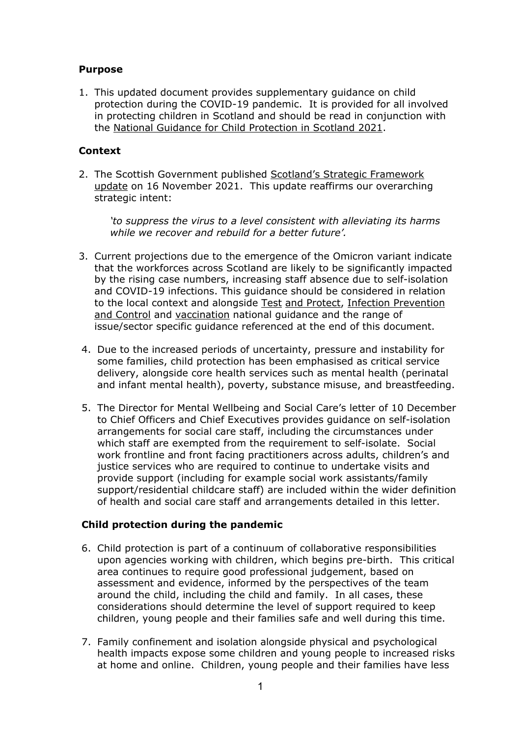## **Purpose**

1. This updated document provides supplementary guidance on child protection during the COVID-19 pandemic. It is provided for all involved in protecting children in Scotland and should be read in conjunction with the [National Guidance for Child Protection in Scotland 2021.](https://www.gov.scot/publications/national-guidance-child-protection-scotland-2021/documents/)

# **Context**

2. The Scottish Government published [Scotland's Strategic Framework](https://www.gov.scot/publications/coronavirus-covid-19-scotlands-strategic-framework-update-november-2021/)  [update](https://www.gov.scot/publications/coronavirus-covid-19-scotlands-strategic-framework-update-november-2021/) on 16 November 2021. This update reaffirms our overarching strategic intent:

*'to suppress the virus to a level consistent with alleviating its harms while we recover and rebuild for a better future'.*

- 3. Current projections due to the emergence of the Omicron variant indicate that the workforces across Scotland are likely to be significantly impacted by the rising case numbers, increasing staff absence due to self-isolation and COVID-19 infections. This guidance should be considered in relation to the local context and alongside [Test](https://www.gov.scot/publications/coronavirus-covid-19-test-and-protect/) [and Protect,](https://www.gov.scot/publications/coronavirus-covid-19-test-and-protect/) [Infection Prevention](https://publichealthscotland.scot/our-areas-of-work/covid-19/covid-19-health-protection-guidance/infection-prevention-and-control-ipc-guidance-and-resources/)  [and Control](https://publichealthscotland.scot/our-areas-of-work/covid-19/covid-19-health-protection-guidance/infection-prevention-and-control-ipc-guidance-and-resources/) and [vaccination](https://www.gov.scot/collections/coronavirus-covid-19-vaccination/) national guidance and the range of issue/sector specific guidance referenced at the end of this document.
- 4. Due to the increased periods of uncertainty, pressure and instability for some families, child protection has been emphasised as critical service delivery, alongside core health services such as mental health (perinatal and infant mental health), poverty, substance misuse, and breastfeeding.
- 5. The Director for Mental Wellbeing and Social Care's letter of 10 December to Chief Officers and Chief Executives provides guidance on self-isolation arrangements for social care staff, including the circumstances under which staff are exempted from the requirement to self-isolate. Social work frontline and front facing practitioners across adults, children's and justice services who are required to continue to undertake visits and provide support (including for example social work assistants/family support/residential childcare staff) are included within the wider definition of health and social care staff and arrangements detailed in this letter.

## **Child protection during the pandemic**

- 6. Child protection is part of a continuum of collaborative responsibilities upon agencies working with children, which begins pre-birth. This critical area continues to require good professional judgement, based on assessment and evidence, informed by the perspectives of the team around the child, including the child and family. In all cases, these considerations should determine the level of support required to keep children, young people and their families safe and well during this time.
- 7. Family confinement and isolation alongside physical and psychological health impacts expose some children and young people to increased risks at home and online. Children, young people and their families have less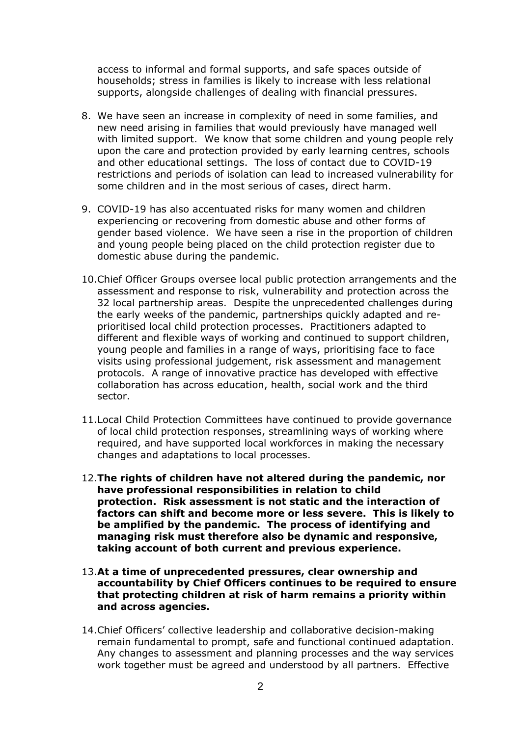access to informal and formal supports, and safe spaces outside of households; stress in families is likely to increase with less relational supports, alongside challenges of dealing with financial pressures.

- 8. We have seen an increase in complexity of need in some families, and new need arising in families that would previously have managed well with limited support. We know that some children and young people rely upon the care and protection provided by early learning centres, schools and other educational settings. The loss of contact due to COVID-19 restrictions and periods of isolation can lead to increased vulnerability for some children and in the most serious of cases, direct harm.
- 9. COVID-19 has also accentuated risks for many women and children experiencing or recovering from domestic abuse and other forms of gender based violence. We have seen a rise in the proportion of children and young people being placed on the child protection register due to domestic abuse during the pandemic.
- 10.Chief Officer Groups oversee local public protection arrangements and the assessment and response to risk, vulnerability and protection across the 32 local partnership areas. Despite the unprecedented challenges during the early weeks of the pandemic, partnerships quickly adapted and reprioritised local child protection processes. Practitioners adapted to different and flexible ways of working and continued to support children, young people and families in a range of ways, prioritising face to face visits using professional judgement, risk assessment and management protocols. A range of innovative practice has developed with effective collaboration has across education, health, social work and the third sector.
- 11.Local Child Protection Committees have continued to provide governance of local child protection responses, streamlining ways of working where required, and have supported local workforces in making the necessary changes and adaptations to local processes.
- 12.**The rights of children have not altered during the pandemic, nor have professional responsibilities in relation to child protection. Risk assessment is not static and the interaction of factors can shift and become more or less severe. This is likely to be amplified by the pandemic. The process of identifying and managing risk must therefore also be dynamic and responsive, taking account of both current and previous experience.**
- 13.**At a time of unprecedented pressures, clear ownership and accountability by Chief Officers continues to be required to ensure that protecting children at risk of harm remains a priority within and across agencies.**
- 14.Chief Officers' collective leadership and collaborative decision-making remain fundamental to prompt, safe and functional continued adaptation. Any changes to assessment and planning processes and the way services work together must be agreed and understood by all partners. Effective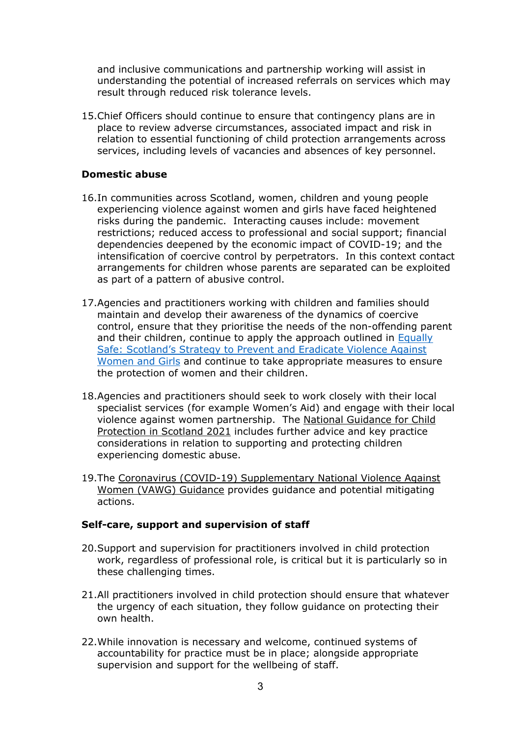and inclusive communications and partnership working will assist in understanding the potential of increased referrals on services which may result through reduced risk tolerance levels.

15.Chief Officers should continue to ensure that contingency plans are in place to review adverse circumstances, associated impact and risk in relation to essential functioning of child protection arrangements across services, including levels of vacancies and absences of key personnel.

## **Domestic abuse**

- 16.In communities across Scotland, women, children and young people experiencing violence against women and girls have faced heightened risks during the pandemic. Interacting causes include: movement restrictions; reduced access to professional and social support; financial dependencies deepened by the economic impact of COVID-19; and the intensification of coercive control by perpetrators. In this context contact arrangements for children whose parents are separated can be exploited as part of a pattern of abusive control.
- 17.Agencies and practitioners working with children and families should maintain and develop their awareness of the dynamics of coercive control, ensure that they prioritise the needs of the non-offending parent and their children, continue to apply the approach outlined in [Equally](https://www.gov.scot/publications/equally-safe-scotlands-strategy-prevent-eradicate-violence-against-women-girls/)  [Safe: Scotland's Strategy to Prevent and Eradicate Violence Against](https://www.gov.scot/publications/equally-safe-scotlands-strategy-prevent-eradicate-violence-against-women-girls/)  [Women and Girls](https://www.gov.scot/publications/equally-safe-scotlands-strategy-prevent-eradicate-violence-against-women-girls/) and continue to take appropriate measures to ensure the protection of women and their children.
- 18.Agencies and practitioners should seek to work closely with their local specialist services (for example Women's Aid) and engage with their local violence against women partnership. The [National Guidance for Child](https://www.gov.scot/publications/national-guidance-child-protection-scotland-2021/documents/)  [Protection in Scotland 2021](https://www.gov.scot/publications/national-guidance-child-protection-scotland-2021/documents/) includes further advice and key practice considerations in relation to supporting and protecting children experiencing domestic abuse.
- 19.The Coronavirus [\(COVID-19\) Supplementary National Violence](https://www.cosla.gov.uk/__data/assets/pdf_file/0030/19668/COVID-19-Supplementary-VAW-Guidance-Sept-2020.pdf) Against Women (VAWG) [Guidance](https://www.cosla.gov.uk/__data/assets/pdf_file/0030/19668/COVID-19-Supplementary-VAW-Guidance-Sept-2020.pdf) provides guidance and potential mitigating actions.

### **Self-care, support and supervision of staff**

- 20.Support and supervision for practitioners involved in child protection work, regardless of professional role, is critical but it is particularly so in these challenging times.
- 21.All practitioners involved in child protection should ensure that whatever the urgency of each situation, they follow guidance on protecting their own health.
- 22.While innovation is necessary and welcome, continued systems of accountability for practice must be in place; alongside appropriate supervision and support for the wellbeing of staff.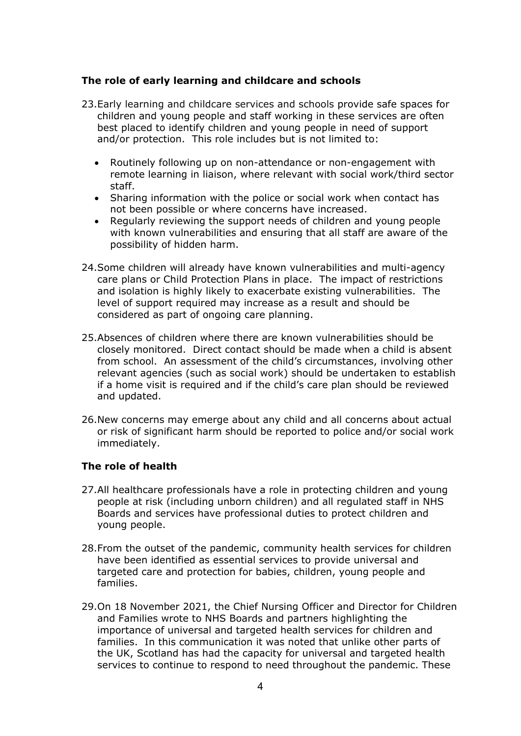## **The role of early learning and childcare and schools**

- 23.Early learning and childcare services and schools provide safe spaces for children and young people and staff working in these services are often best placed to identify children and young people in need of support and/or protection. This role includes but is not limited to:
	- Routinely following up on non-attendance or non-engagement with remote learning in liaison, where relevant with social work/third sector staff.
	- Sharing information with the police or social work when contact has not been possible or where concerns have increased.
	- Regularly reviewing the support needs of children and young people with known vulnerabilities and ensuring that all staff are aware of the possibility of hidden harm.
- 24.Some children will already have known vulnerabilities and multi-agency care plans or Child Protection Plans in place. The impact of restrictions and isolation is highly likely to exacerbate existing vulnerabilities. The level of support required may increase as a result and should be considered as part of ongoing care planning.
- 25.Absences of children where there are known vulnerabilities should be closely monitored. Direct contact should be made when a child is absent from school. An assessment of the child's circumstances, involving other relevant agencies (such as social work) should be undertaken to establish if a home visit is required and if the child's care plan should be reviewed and updated.
- 26.New concerns may emerge about any child and all concerns about actual or risk of significant harm should be reported to police and/or social work immediately.

### **The role of health**

- 27.All healthcare professionals have a role in protecting children and young people at risk (including unborn children) and all regulated staff in NHS Boards and services have professional duties to protect children and young people.
- 28.From the outset of the pandemic, community health services for children have been identified as essential services to provide universal and targeted care and protection for babies, children, young people and families.
- 29.On 18 November 2021, the Chief Nursing Officer and Director for Children and Families wrote to NHS Boards and partners highlighting the importance of universal and targeted health services for children and families. In this communication it was noted that unlike other parts of the UK, Scotland has had the capacity for universal and targeted health services to continue to respond to need throughout the pandemic. These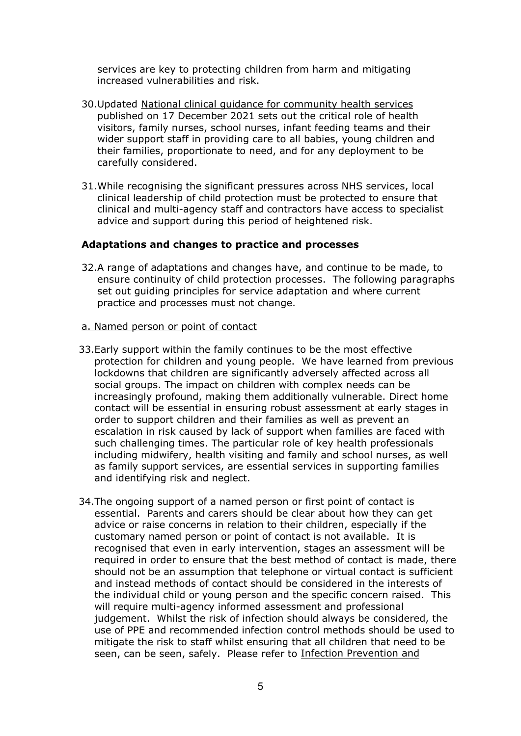services are key to protecting children from harm and mitigating increased vulnerabilities and risk.

- 30.Updated [National clinical guidance for community health services](https://www.gov.scot/publications/coronavirus-covid-19-community-child-health-services-national-clinical-guidance/pages/introduction/) published on 17 December 2021 sets out the critical role of health visitors, family nurses, school nurses, infant feeding teams and their wider support staff in providing care to all babies, young children and their families, proportionate to need, and for any deployment to be carefully considered.
- 31.While recognising the significant pressures across NHS services, local clinical leadership of child protection must be protected to ensure that clinical and multi-agency staff and contractors have access to specialist advice and support during this period of heightened risk.

### **Adaptations and changes to practice and processes**

- 32.A range of adaptations and changes have, and continue to be made, to ensure continuity of child protection processes. The following paragraphs set out guiding principles for service adaptation and where current practice and processes must not change.
- a. Named person or point of contact
- 33.Early support within the family continues to be the most effective protection for children and young people. We have learned from previous lockdowns that children are significantly adversely affected across all social groups. The impact on children with complex needs can be increasingly profound, making them additionally vulnerable. Direct home contact will be essential in ensuring robust assessment at early stages in order to support children and their families as well as prevent an escalation in risk caused by lack of support when families are faced with such challenging times. The particular role of key health professionals including midwifery, health visiting and family and school nurses, as well as family support services, are essential services in supporting families and identifying risk and neglect.
- 34.The ongoing support of a named person or first point of contact is essential. Parents and carers should be clear about how they can get advice or raise concerns in relation to their children, especially if the customary named person or point of contact is not available. It is recognised that even in early intervention, stages an assessment will be required in order to ensure that the best method of contact is made, there should not be an assumption that telephone or virtual contact is sufficient and instead methods of contact should be considered in the interests of the individual child or young person and the specific concern raised. This will require multi-agency informed assessment and professional judgement. Whilst the risk of infection should always be considered, the use of PPE and recommended infection control methods should be used to mitigate the risk to staff whilst ensuring that all children that need to be seen, can be seen, safely. Please refer to Infection Prevention and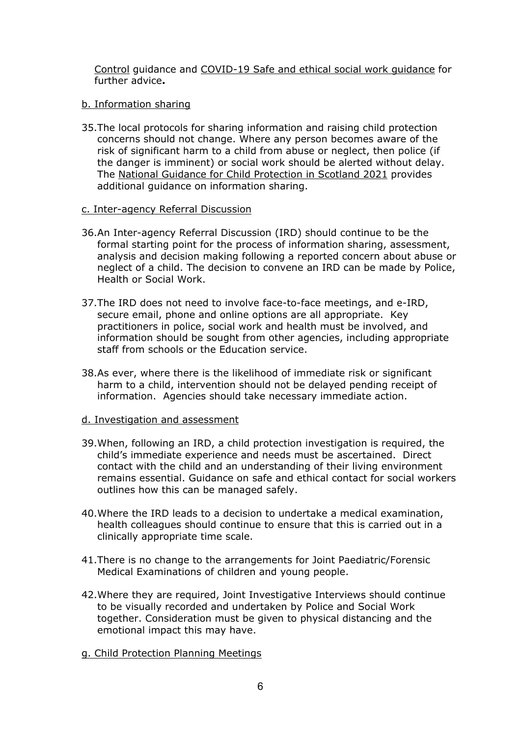[Control](https://publichealthscotland.scot/our-areas-of-work/covid-19/covid-19-health-protection-guidance/infection-prevention-and-control-ipc-guidance-and-resources/) guidance and [COVID-19 Safe and ethical social work guidance](https://www.gov.scot/publications/coronavirus-covid-19-social-worker-guidance-on-safe-contact/) for further advice**.**

### b. Information sharing

35.The local protocols for sharing information and raising child protection concerns should not change. Where any person becomes aware of the risk of significant harm to a child from abuse or neglect, then police (if the danger is imminent) or social work should be alerted without delay. The [National Guidance for Child Protection in Scotland 2021](https://www.gov.scot/publications/national-guidance-child-protection-scotland-2021/documents/) provides additional guidance on information sharing.

#### c. Inter-agency Referral Discussion

- 36.An Inter-agency Referral Discussion (IRD) should continue to be the formal starting point for the process of information sharing, assessment, analysis and decision making following a reported concern about abuse or neglect of a child. The decision to convene an IRD can be made by Police, Health or Social Work.
- 37.The IRD does not need to involve face-to-face meetings, and e-IRD, secure email, phone and online options are all appropriate. Key practitioners in police, social work and health must be involved, and information should be sought from other agencies, including appropriate staff from schools or the Education service.
- 38.As ever, where there is the likelihood of immediate risk or significant harm to a child, intervention should not be delayed pending receipt of information. Agencies should take necessary immediate action.

### d. Investigation and assessment

- 39.When, following an IRD, a child protection investigation is required, the child's immediate experience and needs must be ascertained. Direct contact with the child and an understanding of their living environment remains essential. Guidance on safe and ethical contact for social workers outlines how this can be managed safely.
- 40.Where the IRD leads to a decision to undertake a medical examination, health colleagues should continue to ensure that this is carried out in a clinically appropriate time scale.
- 41.There is no change to the arrangements for Joint Paediatric/Forensic Medical Examinations of children and young people.
- 42.Where they are required, Joint Investigative Interviews should continue to be visually recorded and undertaken by Police and Social Work together. Consideration must be given to physical distancing and the emotional impact this may have.
- g. Child Protection Planning Meetings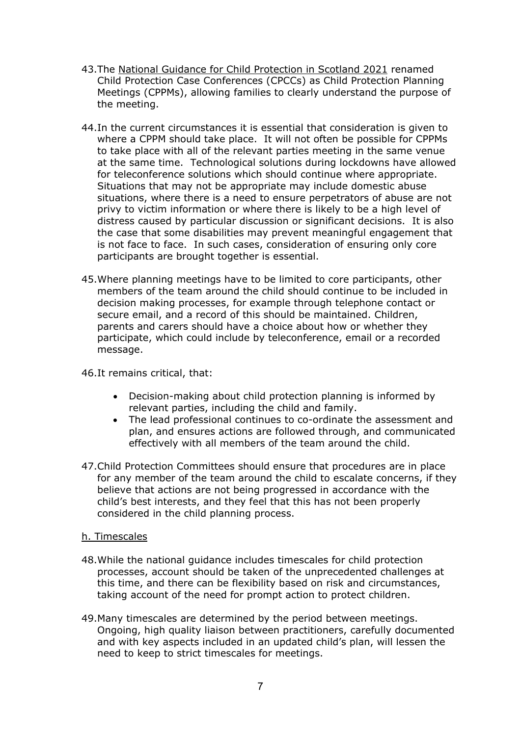- 43.The [National Guidance for Child Protection in Scotland 2021](https://www.gov.scot/publications/national-guidance-child-protection-scotland-2021/documents/) renamed Child Protection Case Conferences (CPCCs) as Child Protection Planning Meetings (CPPMs), allowing families to clearly understand the purpose of the meeting.
- 44.In the current circumstances it is essential that consideration is given to where a CPPM should take place. It will not often be possible for CPPMs to take place with all of the relevant parties meeting in the same venue at the same time. Technological solutions during lockdowns have allowed for teleconference solutions which should continue where appropriate. Situations that may not be appropriate may include domestic abuse situations, where there is a need to ensure perpetrators of abuse are not privy to victim information or where there is likely to be a high level of distress caused by particular discussion or significant decisions. It is also the case that some disabilities may prevent meaningful engagement that is not face to face. In such cases, consideration of ensuring only core participants are brought together is essential.
- 45.Where planning meetings have to be limited to core participants, other members of the team around the child should continue to be included in decision making processes, for example through telephone contact or secure email, and a record of this should be maintained. Children, parents and carers should have a choice about how or whether they participate, which could include by teleconference, email or a recorded message.
- 46.It remains critical, that:
	- Decision-making about child protection planning is informed by relevant parties, including the child and family.
	- The lead professional continues to co-ordinate the assessment and plan, and ensures actions are followed through, and communicated effectively with all members of the team around the child.
- 47.Child Protection Committees should ensure that procedures are in place for any member of the team around the child to escalate concerns, if they believe that actions are not being progressed in accordance with the child's best interests, and they feel that this has not been properly considered in the child planning process.

## h. Timescales

- 48.While the national guidance includes timescales for child protection processes, account should be taken of the unprecedented challenges at this time, and there can be flexibility based on risk and circumstances, taking account of the need for prompt action to protect children.
- 49.Many timescales are determined by the period between meetings. Ongoing, high quality liaison between practitioners, carefully documented and with key aspects included in an updated child's plan, will lessen the need to keep to strict timescales for meetings.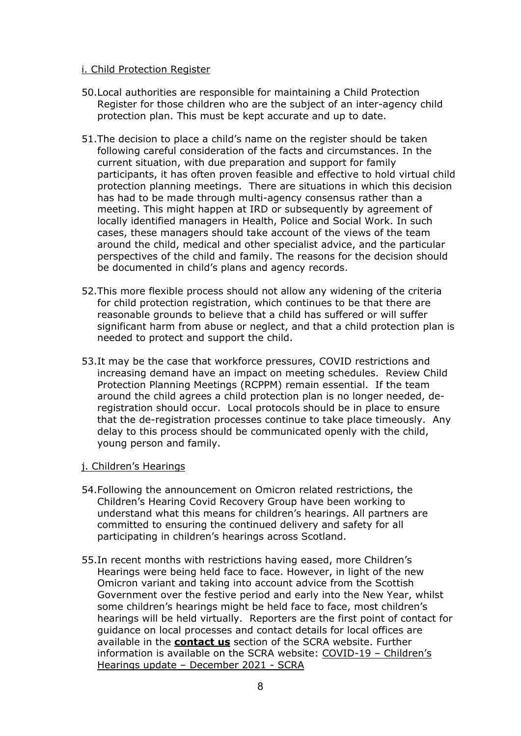## i. Child Protection Register

- 50.Local authorities are responsible for maintaining a Child Protection Register for those children who are the subject of an inter-agency child protection plan. This must be kept accurate and up to date.
- 51.The decision to place a child's name on the register should be taken following careful consideration of the facts and circumstances. In the current situation, with due preparation and support for family participants, it has often proven feasible and effective to hold virtual child protection planning meetings. There are situations in which this decision has had to be made through multi-agency consensus rather than a meeting. This might happen at IRD or subsequently by agreement of locally identified managers in Health, Police and Social Work. In such cases, these managers should take account of the views of the team around the child, medical and other specialist advice, and the particular perspectives of the child and family. The reasons for the decision should be documented in child's plans and agency records.
- 52.This more flexible process should not allow any widening of the criteria for child protection registration, which continues to be that there are reasonable grounds to believe that a child has suffered or will suffer significant harm from abuse or neglect, and that a child protection plan is needed to protect and support the child.
- 53.It may be the case that workforce pressures, COVID restrictions and increasing demand have an impact on meeting schedules. Review Child Protection Planning Meetings (RCPPM) remain essential. If the team around the child agrees a child protection plan is no longer needed, deregistration should occur. Local protocols should be in place to ensure that the de-registration processes continue to take place timeously. Any delay to this process should be communicated openly with the child, young person and family.

### j. Children's Hearings

- 54.Following the announcement on Omicron related restrictions, the Children's Hearing Covid Recovery Group have been working to understand what this means for children's hearings. All partners are committed to ensuring the continued delivery and safety for all participating in children's hearings across Scotland.
- 55.In recent months with restrictions having eased, more Children's Hearings were being held face to face. However, in light of the new Omicron variant and taking into account advice from the Scottish Government over the festive period and early into the New Year, whilst some children's hearings might be held face to face, most children's hearings will be held virtually. Reporters are the first point of contact for guidance on local processes and contact details for local offices are available in the **[contact us](https://www.scra.gov.uk/contact-us/office-locations/)** section of the SCRA website. Further information is available on the SCRA website: [COVID-19 –](https://www.scra.gov.uk/2021/12/covid-19-childrens-hearings-update-december-2021/) Children's [Hearings update –](https://www.scra.gov.uk/2021/12/covid-19-childrens-hearings-update-december-2021/) December 2021 - SCRA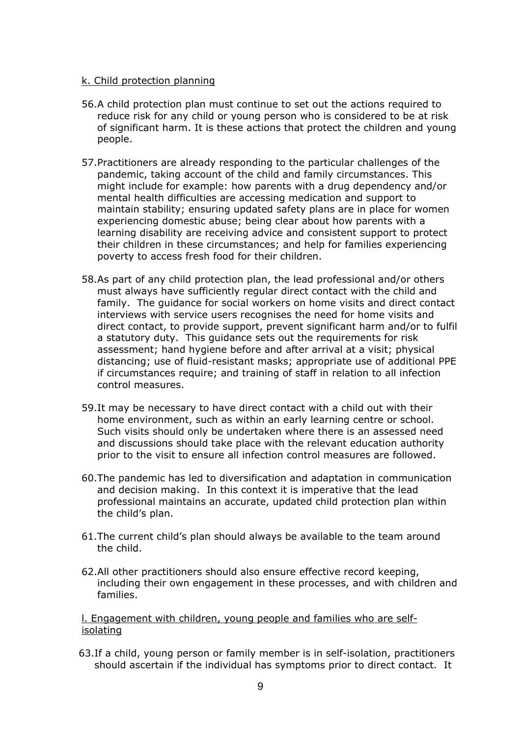#### k. Child protection planning

- 56.A child protection plan must continue to set out the actions required to reduce risk for any child or young person who is considered to be at risk of significant harm. It is these actions that protect the children and young people.
- 57.Practitioners are already responding to the particular challenges of the pandemic, taking account of the child and family circumstances. This might include for example: how parents with a drug dependency and/or mental health difficulties are accessing medication and support to maintain stability; ensuring updated safety plans are in place for women experiencing domestic abuse; being clear about how parents with a learning disability are receiving advice and consistent support to protect their children in these circumstances; and help for families experiencing poverty to access fresh food for their children.
- 58.As part of any child protection plan, the lead professional and/or others must always have sufficiently regular direct contact with the child and family. The guidance for social workers on home visits and direct contact interviews with service users recognises the need for home visits and direct contact, to provide support, prevent significant harm and/or to fulfil a statutory duty. This guidance sets out the requirements for risk assessment; hand hygiene before and after arrival at a visit; physical distancing; use of fluid-resistant masks; appropriate use of additional PPE if circumstances require; and training of staff in relation to all infection control measures.
- 59.It may be necessary to have direct contact with a child out with their home environment, such as within an early learning centre or school. Such visits should only be undertaken where there is an assessed need and discussions should take place with the relevant education authority prior to the visit to ensure all infection control measures are followed.
- 60.The pandemic has led to diversification and adaptation in communication and decision making. In this context it is imperative that the lead professional maintains an accurate, updated child protection plan within the child's plan.
- 61.The current child's plan should always be available to the team around the child.
- 62.All other practitioners should also ensure effective record keeping, including their own engagement in these processes, and with children and families.

l. Engagement with children, young people and families who are selfisolating

63.If a child, young person or family member is in self-isolation, practitioners should ascertain if the individual has symptoms prior to direct contact. It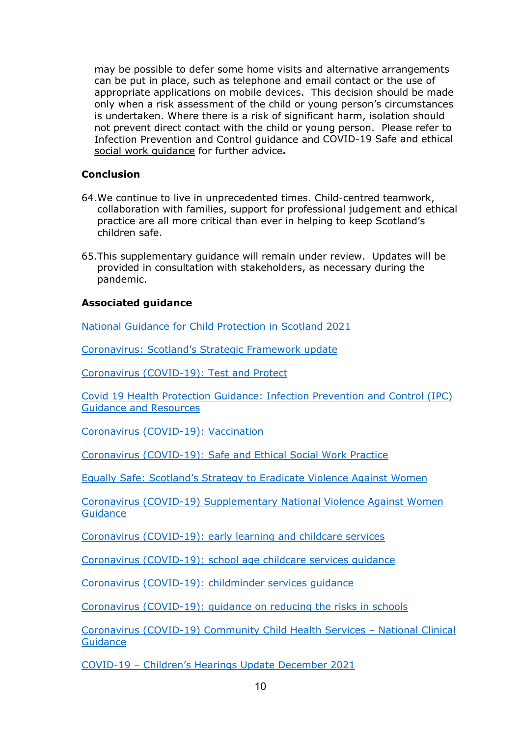may be possible to defer some home visits and alternative arrangements can be put in place, such as telephone and email contact or the use of appropriate applications on mobile devices. This decision should be made only when a risk assessment of the child or young person's circumstances is undertaken. Where there is a risk of significant harm, isolation should not prevent direct contact with the child or young person. Please refer to [Infection Prevention and Control](https://publichealthscotland.scot/our-areas-of-work/covid-19/covid-19-health-protection-guidance/infection-prevention-and-control-ipc-guidance-and-resources/) guidance and [COVID-19 Safe and ethical](https://www.gov.scot/publications/coronavirus-covid-19-social-worker-guidance-on-safe-contact/)  [social work guidance](https://www.gov.scot/publications/coronavirus-covid-19-social-worker-guidance-on-safe-contact/) for further advice**.**

## **Conclusion**

- 64.We continue to live in unprecedented times. Child-centred teamwork, collaboration with families, support for professional judgement and ethical practice are all more critical than ever in helping to keep Scotland's children safe.
- 65.This supplementary guidance will remain under review. Updates will be provided in consultation with stakeholders, as necessary during the pandemic.

## **Associated guidance**

[National Guidance for Child Protection in Scotland 2021](https://www.gov.scot/publications/national-guidance-child-protection-scotland-2021/documents/)

Coronavirus: [Scotland's Strategic Framework update](https://www.gov.scot/publications/coronavirus-covid-19-scotlands-strategic-framework-update-november-2021/)

[Coronavirus \(COVID-19\): Test and Protect](https://www.gov.scot/publications/coronavirus-covid-19-test-and-protect/)

[Covid 19 Health Protection Guidance: Infection Prevention and Control \(IPC\)](https://publichealthscotland.scot/our-areas-of-work/covid-19/covid-19-health-protection-guidance/infection-prevention-and-control-ipc-guidance-and-resources/)  Guidance [and Resources](https://publichealthscotland.scot/our-areas-of-work/covid-19/covid-19-health-protection-guidance/infection-prevention-and-control-ipc-guidance-and-resources/)

[Coronavirus \(COVID-19\): Vaccination](https://www.gov.scot/collections/coronavirus-covid-19-vaccination/)

[Coronavirus \(COVID-19\): Safe and Ethical Social Work Practice](https://www.gov.scot/publications/coronavirus-covid-19-social-worker-guidance-on-safe-contact/)

[Equally Safe: Scotland's Strategy to Eradicate Violence Against Women](https://www.gov.scot/publications/equally-safe-scotlands-strategy-prevent-eradicate-violence-against-women-girls/)

[Coronavirus \(COVID-19\) Supplementary National Violence Against Women](https://www.cosla.gov.uk/__data/assets/pdf_file/0030/19668/COVID-19-Supplementary-VAW-Guidance-Sept-2020.pdf)  **[Guidance](https://www.cosla.gov.uk/__data/assets/pdf_file/0030/19668/COVID-19-Supplementary-VAW-Guidance-Sept-2020.pdf)** 

[Coronavirus \(COVID-19\): early learning and childcare services](https://www.gov.scot/publications/coronavirus-covid-19-early-learning-and-childcare-services/)

[Coronavirus \(COVID-19\): school age childcare services guidance](https://www.gov.scot/publications/coronavirus-covid-19-school-age-childcare-services/)

[Coronavirus \(COVID-19\): childminder services guidance](https://www.gov.scot/publications/coronavirus-covid-19-childminder-services-guidance/pages/related-links/)

[Coronavirus \(COVID-19\): guidance on reducing the risks in schools](https://www.gov.scot/publications/coronavirus-covid-19-guidance-on-reducing-the-risks-in-schools/pages/overview/)

[Coronavirus \(COVID-19\) Community Child Health Services –](https://www.gov.scot/publications/coronavirus-covid-19-community-child-health-services-national-clinical-guidance/pages/introduction/) National Clinical **[Guidance](https://www.gov.scot/publications/coronavirus-covid-19-community-child-health-services-national-clinical-guidance/pages/introduction/)** 

COVID-19 – [Children's Hearings Update December 2021](https://www.scra.gov.uk/2021/12/covid-19-childrens-hearings-update-december-2021/)